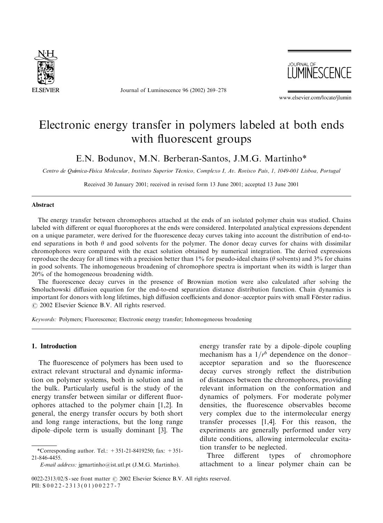

Journal of Luminescence 96 (2002) 269–278



www.elsevier.com/locate/jlumin

# Electronic energy transfer in polymers labeled at both ends with fluorescent groups

E.N. Bodunov, M.N. Berberan-Santos, J.M.G. Martinho\*

Centro de Química-Física Molecular, Instituto Superior Técnico, Complexo I, Av. Rovisco Pais, 1, 1049-001 Lisboa, Portugal

Received 30 January 2001; received in revised form 13 June 2001; accepted 13 June 2001

### Abstract

The energy transfer between chromophores attached at the ends of an isolated polymer chain was studied. Chains labeled with different or equal fluorophores at the ends were considered. Interpolated analytical expressions dependent on a unique parameter, were derived for the fluorescence decay curves taking into account the distribution of end-toend separations in both  $\theta$  and good solvents for the polymer. The donor decay curves for chains with dissimilar chromophores were compared with the exact solution obtained by numerical integration. The derived expressions reproduce the decay for all times with a precision better than 1% for pseudo-ideal chains ( $\theta$  solvents) and 3% for chains in good solvents. The inhomogeneous broadening of chromophore spectra is important when its width is larger than 20% of the homogeneous broadening width.

The fluorescence decay curves in the presence of Brownian motion were also calculated after solving the Smoluchowski diffusion equation for the end-to-end separation distance distribution function. Chain dynamics is important for donors with long lifetimes, high diffusion coefficients and donor–acceptor pairs with small Förster radius.  $\odot$  2002 Elsevier Science B.V. All rights reserved.

Keywords: Polymers; Fluorescence; Electronic energy transfer; Inhomogeneous broadening

## 1. Introduction

The fluorescence of polymers has been used to extract relevant structural and dynamic information on polymer systems, both in solution and in the bulk. Particularly useful is the study of the energy transfer between similar or different fluorophores attached to the polymer chain [1,2]. In general, the energy transfer occurs by both short and long range interactions, but the long range dipole–dipole term is usually dominant [3]. The

energy transfer rate by a dipole–dipole coupling mechanism has a  $1/r^6$  dependence on the donor– acceptor separation and so the fluorescence decay curves strongly reflect the distribution of distances between the chromophores, providing relevant information on the conformation and dynamics of polymers. For moderate polymer densities, the fluorescence observables become very complex due to the intermolecular energy transfer processes [1,4]. For this reason, the experiments are generally performed under very dilute conditions, allowing intermolecular excitation transfer to be neglected.

Three different types of chromophore attachment to a linear polymer chain can be

<sup>\*</sup>Corresponding author. Tel.:  $+351-21-8419250$ ; fax:  $+351-$ 21-846-4455.

E-mail address: jgmartinho@ist.utl.pt (J.M.G. Martinho).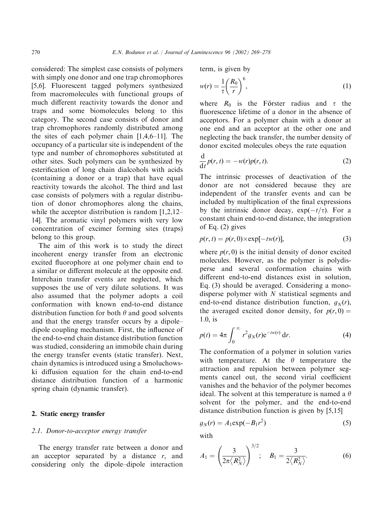considered: The simplest case consists of polymers with simply one donor and one trap chromophores [5,6]. Fluorescent tagged polymers synthesized from macromolecules with functional groups of much different reactivity towards the donor and traps and some biomolecules belong to this category. The second case consists of donor and trap chromophores randomly distributed among the sites of each polymer chain [1,4,6–11]. The occupancy of a particular site is independent of the type and number of chromophores substituted at other sites. Such polymers can be synthesized by esterification of long chain dialcohols with acids (containing a donor or a trap) that have equal reactivity towards the alcohol. The third and last case consists of polymers with a regular distribution of donor chromophores along the chains, while the acceptor distribution is random [1,2,12– 14]. The aromatic vinyl polymers with very low concentration of excimer forming sites (traps) belong to this group.

The aim of this work is to study the direct incoherent energy transfer from an electronic excited fluorophore at one polymer chain end to a similar or different molecule at the opposite end. Interchain transfer events are neglected, which supposes the use of very dilute solutions. It was also assumed that the polymer adopts a coil conformation with known end-to-end distance distribution function for both  $\theta$  and good solvents and that the energy transfer occurs by a dipole– dipole coupling mechanism. First, the influence of the end-to-end chain distance distribution function was studied, considering an immobile chain during the energy transfer events (static transfer). Next, chain dynamics is introduced using a Smoluchowski diffusion equation for the chain end-to-end distance distribution function of a harmonic spring chain (dynamic transfer).

## 2. Static energy transfer

#### 2.1. Donor-to-acceptor energy transfer

The energy transfer rate between a donor and an acceptor separated by a distance  $r$ , and considering only the dipole–dipole interaction term, is given by

$$
w(r) = \frac{1}{\tau} \left(\frac{R_0}{r}\right)^6,\tag{1}
$$

where  $R_0$  is the Förster radius and  $\tau$  the fluorescence lifetime of a donor in the absence of acceptors. For a polymer chain with a donor at one end and an acceptor at the other one and neglecting the back transfer, the number density of donor excited molecules obeys the rate equation

$$
\frac{\mathrm{d}}{\mathrm{d}t}p(r,t) = -w(r)p(r,t). \tag{2}
$$

The intrinsic processes of deactivation of the donor are not considered because they are independent of the transfer events and can be included by multiplication of the final expressions by the intrinsic donor decay,  $exp(-t/\tau)$ . For a constant chain end-to-end distance, the integration of Eq. (2) gives

$$
p(r,t) = p(r,0) \times \exp[-tw(r)],\tag{3}
$$

where  $p(r, 0)$  is the initial density of donor excited molecules. However, as the polymer is polydisperse and several conformation chains with different end-to-end distances exist in solution, Eq. (3) should be averaged. Considering a monodisperse polymer with  $N$  statistical segments and end-to-end distance distribution function,  $q_N(r)$ , the averaged excited donor density, for  $p(r, 0) =$  $1.0<sub>i</sub>$  is

$$
p(t) = 4\pi \int_0^\infty r^2 g_N(r) e^{-t w(r)} dr.
$$
 (4)

The conformation of a polymer in solution varies with temperature. At the  $\theta$  temperature the attraction and repulsion between polymer segments cancel out, the second virial coefficient vanishes and the behavior of the polymer becomes ideal. The solvent at this temperature is named a  $\theta$ solvent for the polymer, and the end-to-end distance distribution function is given by [5,15]

$$
g_N(r) = A_1 \exp(-B_1 r^2) \tag{5}
$$

with

$$
A_1 = \left(\frac{3}{2\pi \langle R_N^2 \rangle}\right)^{3/2}; \quad B_1 = \frac{3}{2 \langle R_N^2 \rangle}. \tag{6}
$$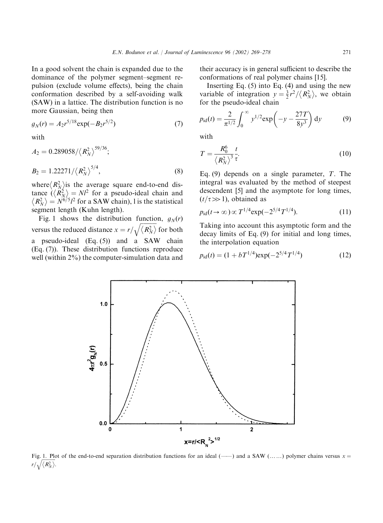In a good solvent the chain is expanded due to the dominance of the polymer segment–segment repulsion (exclude volume effects), being the chain conformation described by a self-avoiding walk (SAW) in a lattice. The distribution function is no more Gaussian, being then

$$
g_N(r) = A_2 r^{5/18} \exp(-B_2 r^{5/2})
$$
 (7)

with

$$
A_2 = 0.289058 / \langle R_N^2 \rangle^{59/36};
$$
  
\n
$$
B_2 = 1.22271 / \langle R_N^2 \rangle^{5/4},
$$
\n(8)

where  $\langle R_N^2 \rangle$  is the average square end-to-end distance  $(\langle R_N^2 \rangle = N^2)$  for a pseudo-ideal chain and  $\langle R_N^2 \rangle = N^{6/5}l^2$  for a SAW chain), l is the statistical segment length (Kuhn length).

Fig. 1 shows the distribution function,  $q_N(r)$ versus the reduced distance  $x = r/$  $\frac{1}{\sqrt{2}}$  $\sqrt{\langle R_N^2 \rangle}$  for both a pseudo-ideal (Eq. (5)) and a SAW chain (Eq. (7)). These distribution functions reproduce well (within 2%) the computer-simulation data and

their accuracy is in general sufficient to describe the conformations of real polymer chains [15].

Inserting Eq.  $(5)$  into Eq.  $(4)$  and using the new variable of integration  $y = \frac{3}{2}r^2 / \langle R_N^2 \rangle$ , we obtain for the pseudo-ideal chain

$$
p_{\rm id}(t) = \frac{2}{\pi^{1/2}} \int_0^\infty y^{1/2} \exp\left(-y - \frac{27T}{8y^3}\right) \mathrm{d}y \tag{9}
$$

with

$$
T = \frac{R_0^6}{\left\langle R_N^2 \right\rangle^3} \frac{t}{\tau}.
$$
 (10)

Eq. (9) depends on a single parameter,  $T$ . The integral was evaluated by the method of steepest descendent [5] and the asymptote for long times,  $(t/\tau \gg 1)$ , obtained as

$$
p_{\rm id}(t \to \infty) \propto T^{1/4} \exp(-2^{5/4} T^{1/4}). \tag{11}
$$

Taking into account this asymptotic form and the decay limits of Eq. (9) for initial and long times, the interpolation equation

$$
p_{\rm id}(t) = (1 + bT^{1/4}) \exp(-2^{5/4} T^{1/4}) \tag{12}
$$



Fig. 1. Plot of the end-to-end separation distribution functions for an ideal (-----) and a SAW (......) polymer chains versus  $x =$ r/ $\sqrt{\langle R_N^2 \rangle}$ .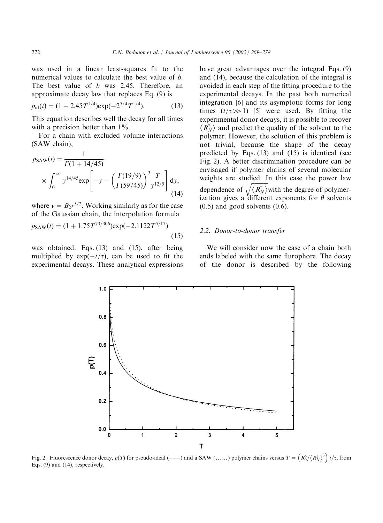was used in a linear least-squares fit to the numerical values to calculate the best value of *b*. The best value of *b* was 2.45. Therefore, an approximate decay lawthat replaces Eq. (9) is

$$
p_{\rm id}(t) = (1 + 2.45T^{1/4}) \exp(-2^{5/4}T^{1/4}). \tag{13}
$$

This equation describes well the decay for all times with a precision better than  $1\%$ .

For a chain with excluded volume interactions (SAW chain),

$$
p_{SAW}(t) = \frac{1}{\Gamma(1 + 14/45)}
$$
  
 
$$
\times \int_0^\infty y^{14/45} \exp\left[-y - \left(\frac{\Gamma(19/9)}{\Gamma(59/45)}\right)^3 \frac{T}{y^{12/5}}\right] dy,
$$
 (14)

where  $y = B_2 r^{5/2}$ . Working similarly as for the case of the Gaussian chain, the interpolation formula

$$
p_{SAW}(t) = (1 + 1.75T^{73/306}) \exp(-2.1122T^{5/17})
$$
\n(15)

was obtained. Eqs. (13) and (15), after being multiplied by  $exp(-t/\tau)$ , can be used to fit the experimental decays. These analytical expressions have great advantages over the integral Eqs. (9) and (14), because the calculation of the integral is avoided in each step of the fitting procedure to the experimental decays. In the past both numerical integration [6] and its asymptotic forms for long times  $(t/\tau \gg 1)$  [5] were used. By fitting the experimental donor decays, it is possible to recover  $\langle R_N^2 \rangle$  and predict the quality of the solvent to the polymer. However, the solution of this problem is not trivial, because the shape of the decay predicted by Eqs. (13) and (15) is identical (see Fig. 2). A better discrimination procedure can be envisaged if polymer chains of several molecular weights are studied. In this case the power law dependence of  $\frac{1}{2}$  $\sqrt{\langle R_N^2 \rangle}$  with the degree of polymerization gives a different exponents for  $\theta$  solvents  $(0.5)$  and good solvents  $(0.6)$ .

## 2.2. Donor-to-donor transfer

We will consider now the case of a chain both ends labeled with the same flurophore. The decay of the donor is described by the following



Fig. 2. Fluorescence donor decay,  $p(T)$  for pseudo-ideal (----) and a SAW (......) polymer chains versus  $T = \left(R_0^6 / \langle R_N^2 \rangle^3\right) t/\tau$ , from Eqs. (9) and (14), respectively.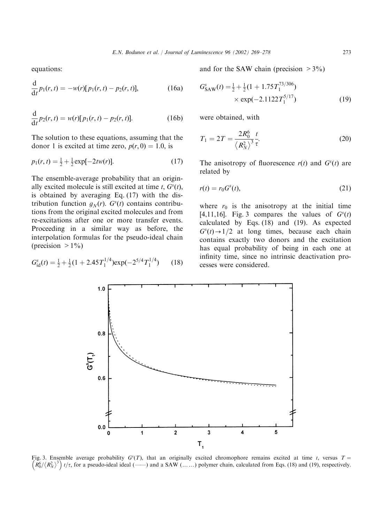equations:

$$
\frac{d}{dt}p_1(r,t) = -w(r)[p_1(r,t) - p_2(r,t)],
$$
\n(16a)

$$
\frac{d}{dt}p_2(r,t) = w(r)[p_1(r,t) - p_2(r,t)].
$$
\n(16b)

The solution to these equations, assuming that the donor 1 is excited at time zero,  $p(r, 0) = 1.0$ , is

$$
p_1(r,t) = \frac{1}{2} + \frac{1}{2} \exp[-2tw(r)].
$$
 (17)

The ensemble-average probability that an originally excited molecule is still excited at time t,  $G<sup>s</sup>(t)$ , is obtained by averaging Eq. (17) with the distribution function  $g_N(r)$ .  $G<sup>s</sup>(t)$  contains contributions from the original excited molecules and from re-excitations after one or more transfer events. Proceeding in a similar way as before, the interpolation formulas for the pseudo-ideal chain (precision  $>1\%$ )

$$
G_{\rm id}^s(t) = \frac{1}{2} + \frac{1}{2}(1 + 2.45T_1^{1/4})\exp(-2^{5/4}T_1^{1/4})\tag{18}
$$

and for the SAW chain (precision  $>3\%$ )

$$
G_{\text{SAW}}^{s}(t) = \frac{1}{2} + \frac{1}{2}(1 + 1.75T_1^{73/306})
$$
  
× exp(-2.1122T\_1^{5/17}) (19)

were obtained, with

$$
T_1 = 2T = \frac{2R_0^6}{\langle R_N^2 \rangle^3} \frac{t}{\tau}.
$$
 (20)

The anisotropy of fluorescence  $r(t)$  and  $G<sup>s</sup>(t)$  are related by

$$
r(t) = r_0 Gs(t),
$$
\n(21)

where  $r_0$  is the anisotropy at the initial time [4,11,16]. Fig. 3 compares the values of  $G<sup>s</sup>(t)$ calculated by Eqs. (18) and (19). As expected  $G<sup>s</sup>(t) \rightarrow 1/2$  at long times, because each chain contains exactly two donors and the excitation has equal probability of being in each one at infinity time, since no intrinsic deactivation processes were considered.



Fig. 3. Ensemble average probability  $G^{s}(T)$ , that an originally excited chromophore remains excited at time t, versus  $T =$ R6 <sup>0</sup>= R<sup>2</sup> N <sup>3</sup> <sup>t</sup>=t; for a pseudo-ideal ideal (FF) and a SAW (yy) polymer chain, calculated from Eqs. (18) and (19), respectively.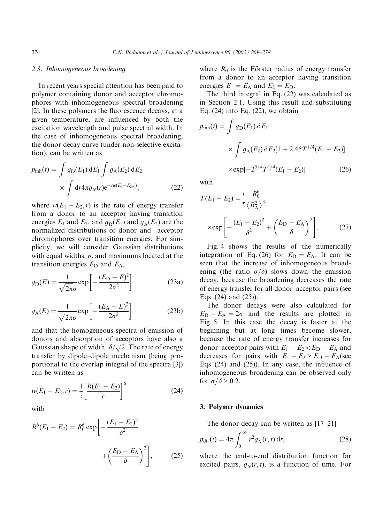#### 2.3. Inhomogeneous broadening

In recent years special attention has been paid to polymer containing donor and acceptor chromophores with inhomogeneous spectral broadening [2]. In these polymers the fluorescence decays, at a given temperature, are influenced by both the excitation wavelength and pulse spectral width. In the case of inhomogeneous spectral broadening, the donor decay curve (under non-selective excitation), can be written as

$$
p_{\text{inh}}(t) = \int g_{\text{D}}(E_1) dE_1 \int g_{\text{A}}(E_2) dE_2
$$
  
 
$$
\times \int dr 4\pi g_N(r) e^{-tw(E_1 - E_2, r)}, \qquad (22)
$$

where  $w(E_1 - E_2, r)$  is the rate of energy transfer from a donor to an acceptor having transition energies  $E_1$  and  $E_2$ , and  $g_D(E_1)$  and  $g_A(E_2)$  are the normalized distributions of donor and acceptor chromophores over transition energies. For simplicity, we will consider Gaussian distributions with equal widths,  $\sigma$ , and maximums located at the transition energies  $E_D$  and  $E_A$ ,

$$
g_{\rm D}(E) = \frac{1}{\sqrt{2\pi}\sigma} \exp\left[-\frac{(E_{\rm D} - E)^2}{2\sigma^2}\right]
$$
 (23a)

$$
g_{A}(E) = \frac{1}{\sqrt{2\pi}\sigma} \exp\left[-\frac{(E_{A} - E)^{2}}{2\sigma^{2}}\right]
$$
 (23b)

and that the homogeneous spectra of emission of donors and absorption of acceptors have also a Gaussian shape of width,  $\delta/\sqrt{2}$ . The rate of energy transfer by dipole–dipole mechanism (being proportional to the overlap integral of the spectra [3]) can be written as

$$
w(E_1 - E_2, r) = \frac{1}{\tau} \left[ \frac{R(E_1 - E_2)}{r} \right]^6
$$
 (24)

with

$$
R^{6}(E_{1} - E_{2}) = R_{0}^{6} \exp \left[-\frac{(E_{1} - E_{2})^{2}}{\delta^{2}} + \left(\frac{E_{D} - E_{A}}{\delta}\right)^{2}\right],
$$
 (25)

where  $R_0$  is the Förster radius of energy transfer from a donor to an acceptor having transition energies  $E_1 = E_A$  and  $E_2 = E_D$ .

The third integral in Eq. (22) was calculated as in Section 2.1. Using this result and substituting Eq.  $(24)$  into Eq.  $(22)$ , we obtain

$$
p_{\rm inh}(t) = \int g_{\rm D}(E_1) \, \mathrm{d}E_1
$$

$$
\times \int g_{\rm A}(E_2) \, \mathrm{d}E_2[1 + 2.45T^{1/4}(E_1 - E_2)]
$$

$$
\times \exp[-2^{5/4}T^{1/4}(E_1 - E_2)] \tag{26}
$$

with

$$
T(E_1 - E_2) = \frac{t}{\tau} \frac{R_0^6}{\langle R_N^2 \rangle^3}
$$

$$
\times \exp\left[ -\frac{(E_1 - E_2)^2}{\delta^2} + \left(\frac{E_D - E_A}{\delta}\right)^2 \right].
$$
 (27)

Fig. 4 shows the results of the numerically integration of Eq. (26) for  $E_D = E_A$ . It can be seen that the increase of inhomogeneous broadening (the ratio  $\sigma/\delta$ ) slows down the emission decay, because the broadening decreases the rate of energy transfer for all donor–acceptor pairs (see Eqs. (24) and (25)).

The donor decays were also calculated for  $E_D - E_A = 2\sigma$  and the results are plotted in Fig. 5. In this case the decay is faster at the beginning but at long times become slower, because the rate of energy transfer increases for donor–acceptor pairs with  $E_1 - E_2 \lt E_D - E_A$  and decreases for pairs with  $E_1 - E_2 > E_D - E_A$  (see Eqs. (24) and (25)). In any case, the influence of inhomogeneous broadening can be observed only for  $\sigma/\delta > 0.2$ .

## 3. Polymer dynamics

The donor decay can be written as [17–21]

$$
p_{\text{dif}}(t) = 4\pi \int_0^\infty r^2 g_N(r, t) \, \mathrm{d}r,\tag{28}
$$

where the end-to-end distribution function for excited pairs,  $g_N(r, t)$ , is a function of time. For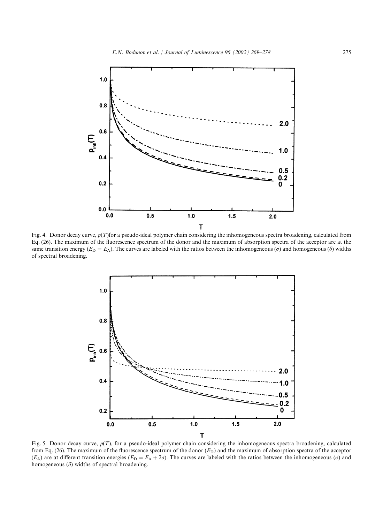

Fig. 4. Donor decay curve,  $p(T)$  for a pseudo-ideal polymer chain considering the inhomogeneous spectra broadening, calculated from Eq. (26). The maximum of the fluorescence spectrum of the donor and the maximum of absorption spectra of the acceptor are at the same transition energy ( $E_D = E_A$ ). The curves are labeled with the ratios between the inhomogeneous ( $\sigma$ ) and homogeneous ( $\delta$ ) widths of spectral broadening.



Fig. 5. Donor decay curve,  $p(T)$ , for a pseudo-ideal polymer chain considering the inhomogeneous spectra broadening, calculated from Eq. (26). The maximum of the fluorescence spectrum of the donor  $(E_D)$  and the maximum of absorption spectra of the acceptor  $(E_A)$  are at different transition energies  $(E_D = E_A + 2\sigma)$ . The curves are labeled with the ratios between the inhomogeneous ( $\sigma$ ) and homogeneous  $(\delta)$  widths of spectral broadening.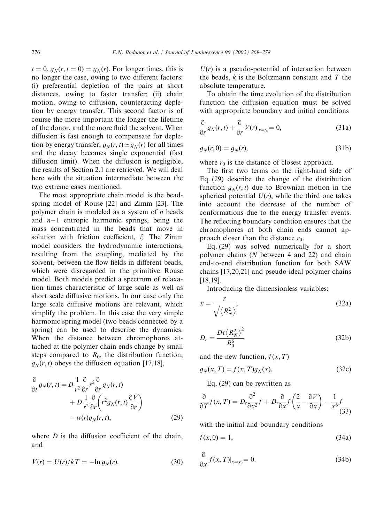$t = 0$ ,  $g_N(r, t = 0) = g_N(r)$ . For longer times, this is no longer the case, owing to two different factors: (i) preferential depletion of the pairs at short distances, owing to faster transfer; (ii) chain motion, owing to diffusion, counteracting depletion by energy transfer. This second factor is of course the more important the longer the lifetime of the donor, and the more fluid the solvent. When diffusion is fast enough to compensate for depletion by energy transfer,  $g_N(r, t) \simeq g_N(r)$  for all times and the decay becomes single exponential (fast diffusion limit). When the diffusion is negligible, the results of Section 2.1 are retrieved. We will deal here with the situation intermediate between the two extreme cases mentioned.

The most appropriate chain model is the beadspring model of Rouse [22] and Zimm [23]. The polymer chain is modeled as a system of  $n$  beads and  $n-1$  entropic harmonic springs, being the mass concentrated in the beads that move in solution with friction coefficient,  $\xi$ . The Zimm model considers the hydrodynamic interactions, resulting from the coupling, mediated by the solvent, between the flow fields in different beads, which were disregarded in the primitive Rouse model. Both models predict a spectrum of relaxation times characteristic of large scale as well as short scale diffusive motions. In our case only the large scale diffusive motions are relevant, which simplify the problem. In this case the very simple harmonic spring model (two beads connected by a spring) can be used to describe the dynamics. When the distance between chromophores attached at the polymer chain ends change by small steps compared to  $R_0$ , the distribution function,  $g_N(r, t)$  obeys the diffusion equation [17,18],

$$
\frac{\partial}{\partial t} g_N(r, t) = D \frac{1}{r^2} \frac{\partial}{\partial r} r^2 \frac{\partial}{\partial r} g_N(r, t) \n+ D \frac{1}{r^2} \frac{\partial}{\partial r} \left( r^2 g_N(r, t) \frac{\partial V}{\partial r} \right) \n- w(r) g_N(r, t),
$$
\n(29)

where  $D$  is the diffusion coefficient of the chain, and

$$
V(r) = U(r)/kT = -\ln g_N(r). \tag{30}
$$

 $U(r)$  is a pseudo-potential of interaction between the beads,  $k$  is the Boltzmann constant and  $T$  the absolute temperature.

To obtain the time evolution of the distribution function the diffusion equation must be solved with appropriate boundary and initial conditions

$$
\frac{\partial}{\partial r} g_N(r, t) + \frac{\partial}{\partial r} V(r)|_{r=r_0} = 0,
$$
\n(31a)

$$
g_N(r,0) = g_N(r),\tag{31b}
$$

where  $r_0$  is the distance of closest approach.

The first two terms on the right-hand side of Eq. (29) describe the change of the distribution function  $g_N(r, t)$  due to Brownian motion in the spherical potential  $U(r)$ , while the third one takes into account the decrease of the number of conformations due to the energy transfer events. The reflecting boundary condition ensures that the chromophores at both chain ends cannot approach closer than the distance  $r_0$ .

Eq. (29) was solved numerically for a short polymer chains (N between 4 and 22) and chain end-to-end distribution function for both SAW chains [17,20,21] and pseudo-ideal polymer chains [18,19].

Introducing the dimensionless variables:

$$
x = \frac{r}{\sqrt{\langle R_N^2 \rangle}},\tag{32a}
$$

$$
D_r = \frac{D\tau \left\langle R_N^2 \right\rangle^2}{R_0^6} \tag{32b}
$$

and the new function,  $f(x, T)$ 

 $g_N(x, T) = f(x, T)g_N(x)$ . (32c)

Eq. (29) can be rewritten as

$$
\frac{\partial}{\partial T} f(x, T) = D_r \frac{\partial^2}{\partial x^2} f + D_r \frac{\partial}{\partial x} f\left(\frac{2}{x} - \frac{\partial V}{\partial x}\right) - \frac{1}{x^6} f\tag{33}
$$

with the initial and boundary conditions

$$
f(x,0) = 1,\tag{34a}
$$

$$
\frac{\partial}{\partial x} f(x, T)|_{x=x_0} = 0.
$$
 (34b)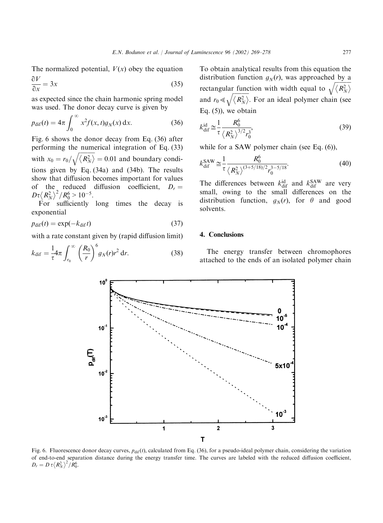The normalized potential,  $V(x)$  obey the equation  $\partial V$ 

$$
\frac{\partial V}{\partial x} = 3x\tag{35}
$$

as expected since the chain harmonic spring model was used. The donor decay curve is given by

$$
p_{\text{dif}}(t) = 4\pi \int_0^\infty x^2 f(x, t) g_N(x) \, \mathrm{d}x. \tag{36}
$$

Fig. 6 shows the donor decay from Eq. (36) after performing the numerical integration of Eq. (33) with  $x_0 = r_0/$  $\frac{1}{\sqrt{2}}$  $\sqrt{\langle R_N^2 \rangle} = 0.01$  and boundary conditions given by Eq. (34a) and (34b). The results showthat diffusion becomes important for values of the reduced diffusion coefficient,  $D_r =$  $D\tau \langle R_N^2 \rangle^2 / R_0^6 > 10^{-5}$ .

For sufficiently long times the decay is exponential

$$
p_{\text{dif}}(t) = \exp(-k_{\text{dif}}t) \tag{37}
$$

with a rate constant given by (rapid diffusion limit)

$$
k_{\text{dif}} = \frac{1}{\tau} 4\pi \int_{r_0}^{\infty} \left(\frac{R_0}{r}\right)^6 g_N(r) r^2 \, \text{d}r. \tag{38}
$$

To obtain analytical results from this equation the distribution function  $g_N(r)$ , was approached by a rectangular function with width equal to  $\sqrt{\langle R_{N}^{2} \rangle}$ and  $r_0 \ll \sqrt{\langle R_N^2 \rangle}$ . For an ideal polymer chain (see  $\frac{1}{4}$ Eq.  $(5)$ , we obtain

$$
k_{\rm dif}^{\rm id} \cong \frac{1}{\tau} \frac{R_0^6}{\left\langle R_N^2 \right\rangle^{3/2} r_0^3},\tag{39}
$$

while for a SAW polymer chain (see Eq.  $(6)$ ),

$$
k_{\rm dif}^{\rm SAM} \cong \frac{1}{\tau} \frac{R_0^6}{\langle R_N^2 \rangle^{(3+5/18)/2} r_0^{3-5/18}}.
$$
 (40)

The differences between  $k_{\text{dif}}^{\text{id}}$  and  $k_{\text{dif}}^{\text{SAW}}$  are very small, owing to the small differences on the distribution function,  $g_N(r)$ , for  $\theta$  and good solvents.

### 4. Conclusions

The energy transfer between chromophores attached to the ends of an isolated polymer chain



Fig. 6. Fluorescence donor decay curves,  $p_{\text{dif}}(t)$ , calculated from Eq. (36), for a pseudo-ideal polymer chain, considering the variation of end-to-end separation distance during the energy transfer time. The curves are labeled with the reduced diffusion coefficient,  $D_r = D \tau \langle R_N^2 \rangle^2 / R_0^6$ .